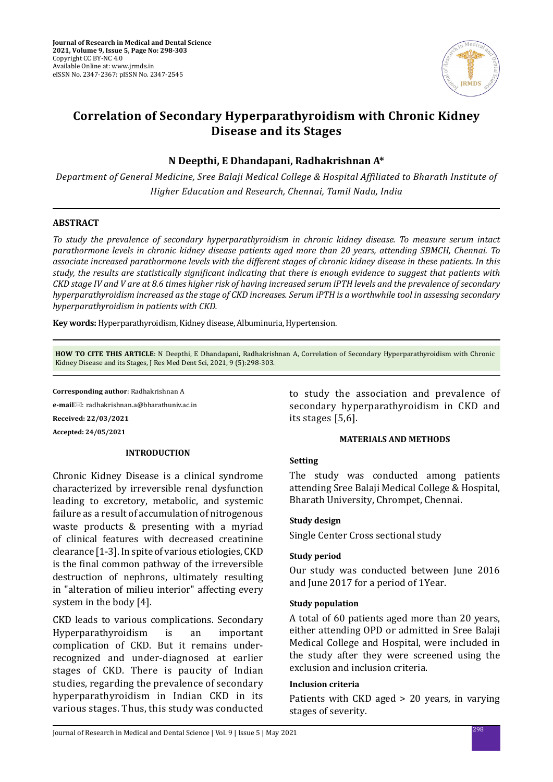

# **Correlation of Secondary Hyperparathyroidism with Chronic Kidney Disease and its Stages**

# **N Deepthi, E Dhandapani, Radhakrishnan A\***

*Department of General Medicine, Sree Balaji Medical College & Hospital Affiliated to Bharath Institute of Higher Education and Research, Chennai, Tamil Nadu, India*

# **ABSTRACT**

*To study the prevalence of secondary hyperparathyroidism in chronic kidney disease. To measure serum intact parathormone levels in chronic kidney disease patients aged more than 20 years, attending SBMCH, Chennai. To associate increased parathormone levels with the different stages of chronic kidney disease in these patients. In this study, the results are statistically significant indicating that there is enough evidence to suggest that patients with CKD stage IV and V are at 8.6 times higher risk of having increased serum iPTH levels and the prevalence of secondary hyperparathyroidism increased as the stage of CKD increases. Serum iPTH is a worthwhile tool in assessing secondary hyperparathyroidism in patients with CKD.*

**Key words:** Hyperparathyroidism, Kidney disease, Albuminuria, Hypertension.

**HOW TO CITE THIS ARTICLE**: N Deepthi, E Dhandapani, Radhakrishnan A, Correlation of Secondary Hyperparathyroidism with Chronic Kidney Disease and its Stages, J Res Med Dent Sci, 2021, 9 (5):298-303.

**Corresponding author**: Radhakrishnan A

**e-mail**: radhakrishnan.a@bharathuniv.ac.in

**Received: 22/03/2021**

**Accepted: 24/05/2021**

### **INTRODUCTION**

Chronic Kidney Disease is a clinical syndrome characterized by irreversible renal dysfunction leading to excretory, metabolic, and systemic failure as a result of accumulation of nitrogenous waste products & presenting with a myriad of clinical features with decreased creatinine clearance [1-3]. In spite of various etiologies, CKD is the final common pathway of the irreversible destruction of nephrons, ultimately resulting in "alteration of milieu interior" affecting every system in the body [4].

CKD leads to various complications. Secondary Hyperparathyroidism is an important complication of CKD. But it remains underrecognized and under-diagnosed at earlier stages of CKD. There is paucity of Indian studies, regarding the prevalence of secondary hyperparathyroidism in Indian CKD in its various stages. Thus, this study was conducted to study the association and prevalence of secondary hyperparathyroidism in CKD and its stages [5,6].

### **MATERIALS AND METHODS**

# **Setting**

The study was conducted among patients attending Sree Balaji Medical College & Hospital, Bharath University, Chrompet, Chennai.

### **Study design**

Single Center Cross sectional study

### **Study period**

Our study was conducted between June 2016 and June 2017 for a period of 1Year.

### **Study population**

A total of 60 patients aged more than 20 years, either attending OPD or admitted in Sree Balaji Medical College and Hospital, were included in the study after they were screened using the exclusion and inclusion criteria.

### **Inclusion criteria**

Patients with CKD aged > 20 years, in varying stages of severity.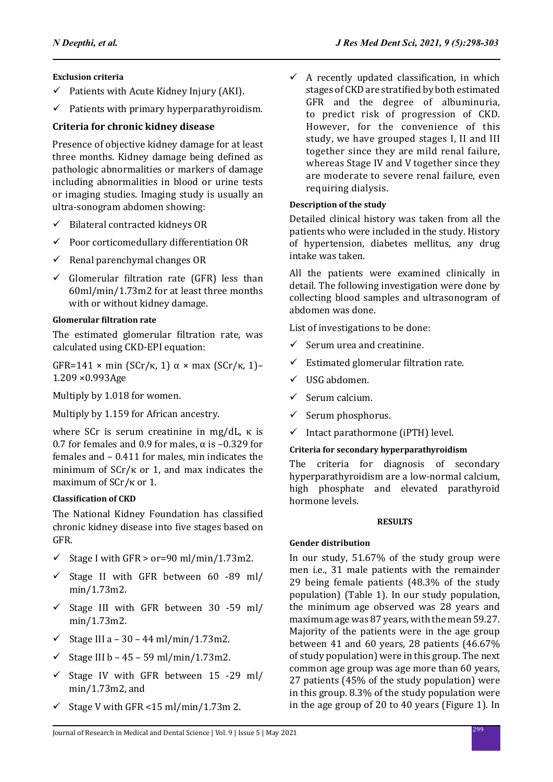# **Exclusion criteria**

- $\checkmark$  Patients with Acute Kidney Injury (AKI).
- $\checkmark$  Patients with primary hyperparathyroidism.

# **Criteria for chronic kidney disease**

Presence of objective kidney damage for at least three months. Kidney damage being defined as pathologic abnormalities or markers of damage including abnormalities in blood or urine tests or imaging studies. Imaging study is usually an ultra-sonogram abdomen showing:

- $\checkmark$  Bilateral contracted kidneys OR
- $\checkmark$  Poor corticomedullary differentiation OR
- $\checkmark$  Renal parenchymal changes OR
- $\checkmark$  Glomerular filtration rate (GFR) less than 60ml/min/1.73m2 for at least three months with or without kidney damage.

# **Glomerular filtration rate**

The estimated glomerular filtration rate, was calculated using CKD-EPI equation:

GFR=141 × min (SCr/κ, 1)  $\alpha$  × max (SCr/κ, 1)-1.209 ×0.993Age

Multiply by 1.018 for women.

Multiply by 1.159 for African ancestry.

where SCr is serum creatinine in mg/dL, κ is 0.7 for females and 0.9 for males,  $\alpha$  is -0.329 for females and – 0.411 for males, min indicates the minimum of SCr/κ or 1, and max indicates the maximum of SCr/κ or 1.

### **Classification of CKD**

The National Kidney Foundation has classified chronic kidney disease into five stages based on GFR.

- $\checkmark$  Stage I with GFR > or=90 ml/min/1.73m2.
- $\checkmark$  Stage II with GFR between 60 -89 ml/ min/1.73m2.
- $\checkmark$  Stage III with GFR between 30 -59 ml/ min/1.73m2.
- 9 Stage III a 30 44 ml/min/1.73m2.
- 9 Stage III b 45 59 ml/min/1.73m2.
- $\checkmark$  Stage IV with GFR between 15 -29 ml/ min/1.73m2, and
- $\checkmark$  Stage V with GFR <15 ml/min/1.73m 2.

 $\checkmark$  A recently updated classification, in which stages of CKD are stratified by both estimated GFR and the degree of albuminuria, to predict risk of progression of CKD. However, for the convenience of this study, we have grouped stages I, II and III together since they are mild renal failure, whereas Stage IV and V together since they are moderate to severe renal failure, even requiring dialysis.

# **Description of the study**

Detailed clinical history was taken from all the patients who were included in the study. History of hypertension, diabetes mellitus, any drug intake was taken.

All the patients were examined clinically in detail. The following investigation were done by collecting blood samples and ultrasonogram of abdomen was done.

List of investigations to be done:

- $\checkmark$  Serum urea and creatinine.
- $\checkmark$  Estimated glomerular filtration rate.
- $\checkmark$  USG abdomen.
- $\checkmark$  Serum calcium.
- $\checkmark$  Serum phosphorus.
- $\checkmark$  Intact parathormone (iPTH) level.

# **Criteria for secondary hyperparathyroidism**

The criteria for diagnosis of secondary hyperparathyroidism are a low-normal calcium, high phosphate and elevated parathyroid hormone levels.

### **RESULTS**

### **Gender distribution**

In our study, 51.67% of the study group were men i.e., 31 male patients with the remainder 29 being female patients (48.3% of the study population) (Table 1). In our study population, the minimum age observed was 28 years and maximum age was 87 years, with the mean 59.27. Majority of the patients were in the age group between 41 and 60 years, 28 patients (46.67% of study population) were in this group. The next common age group was age more than 60 years, 27 patients (45% of the study population) were in this group. 8.3% of the study population were in the age group of 20 to 40 years (Figure 1). In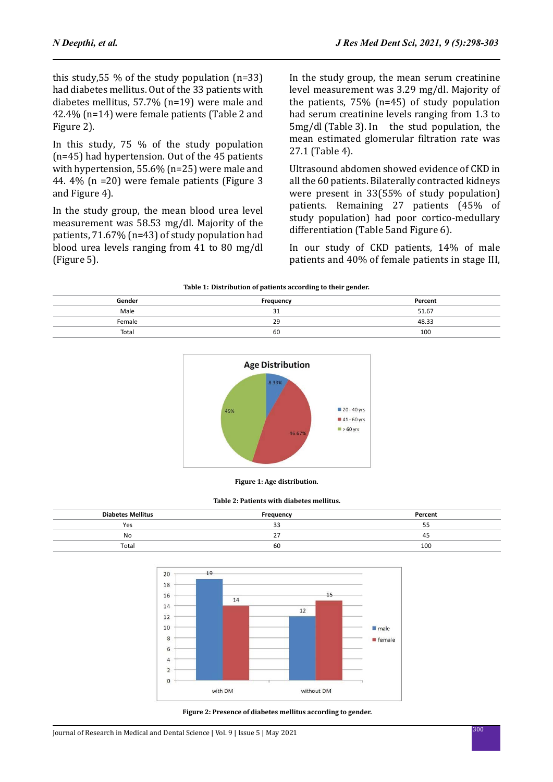this study,55 % of the study population (n=33) had diabetes mellitus. Out of the 33 patients with diabetes mellitus, 57.7% (n=19) were male and 42.4% (n=14) were female patients (Table 2 and Figure 2).

In this study, 75 % of the study population (n=45) had hypertension. Out of the 45 patients with hypertension, 55.6% (n=25) were male and 44. 4% (n =20) were female patients (Figure 3 and Figure 4).

In the study group, the mean blood urea level measurement was 58.53 mg/dl. Majority of the patients, 71.67% (n=43) of study population had blood urea levels ranging from 41 to 80 mg/dl (Figure 5).

In the study group, the mean serum creatinine level measurement was 3.29 mg/dl. Majority of the patients, 75% (n=45) of study population had serum creatinine levels ranging from 1.3 to 5mg/dl (Table 3). In the stud population, the mean estimated glomerular filtration rate was 27.1 (Table 4).

Ultrasound abdomen showed evidence of CKD in all the 60 patients. Bilaterally contracted kidneys were present in 33(55% of study population) patients. Remaining 27 patients (45% of study population) had poor cortico-medullary differentiation (Table 5and Figure 6).

In our study of CKD patients, 14% of male patients and 40% of female patients in stage III,

| Table 1: Distribution of patients according to their gender. |  |
|--------------------------------------------------------------|--|
|--------------------------------------------------------------|--|

| Gender | Frequency    | Percent |
|--------|--------------|---------|
| Male   | $\sim$<br>31 | 51.67   |
| Female | 29           | 48.33   |
| Total  | 60           | 100     |



**Figure 1: Age distribution.**

#### **Table 2: Patients with diabetes mellitus.**

| <b>Diabetes Mellitus</b> | Frequency | Percent |  |  |
|--------------------------|-----------|---------|--|--|
| Yes                      | ~~<br>ت ف | בכ      |  |  |
| No                       | ~-<br>. . | -45     |  |  |
| Total                    | 60        | 100     |  |  |



**Figure 2: Presence of diabetes mellitus according to gender.**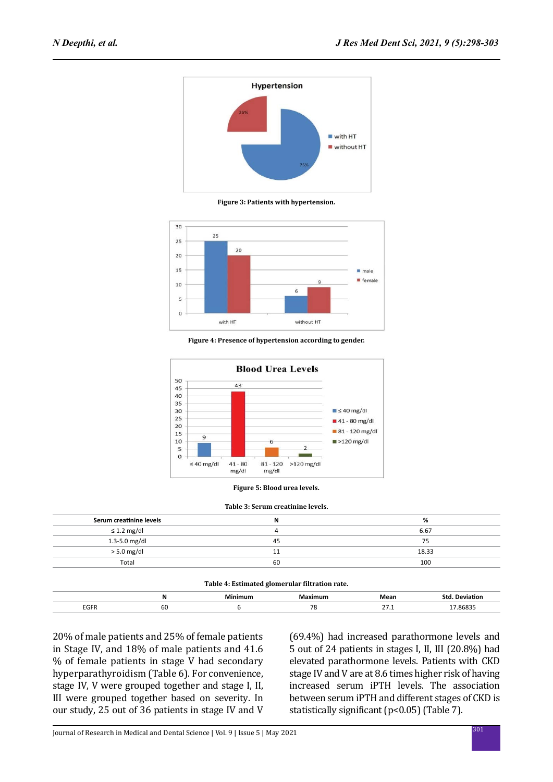

**Figure 3: Patients with hypertension.**



**Figure 4: Presence of hypertension according to gender.**





#### **Table 3: Serum creatinine levels.**

| N  | %     |
|----|-------|
|    | 6.67  |
| 45 | 75    |
|    | 18.33 |
| 60 | 100   |
|    |       |

| Table 4: Estimated glomerular filtration rate. |    |         |      |                       |         |  |  |
|------------------------------------------------|----|---------|------|-----------------------|---------|--|--|
|                                                | N  | 1aximum | Mean | <b>Std. Deviation</b> |         |  |  |
| EGFR                                           | 60 |         |      |                       | 7.86835 |  |  |

20% of male patients and 25% of female patients in Stage IV, and 18% of male patients and 41.6 % of female patients in stage V had secondary hyperparathyroidism (Table 6). For convenience, stage IV, V were grouped together and stage I, II, III were grouped together based on severity. In our study, 25 out of 36 patients in stage IV and V

(69.4%) had increased parathormone levels and 5 out of 24 patients in stages I, II, III (20.8%) had elevated parathormone levels. Patients with CKD stage IV and V are at 8.6 times higher risk of having increased serum iPTH levels. The association between serum iPTH and different stages of CKD is statistically significant (p<0.05) (Table 7).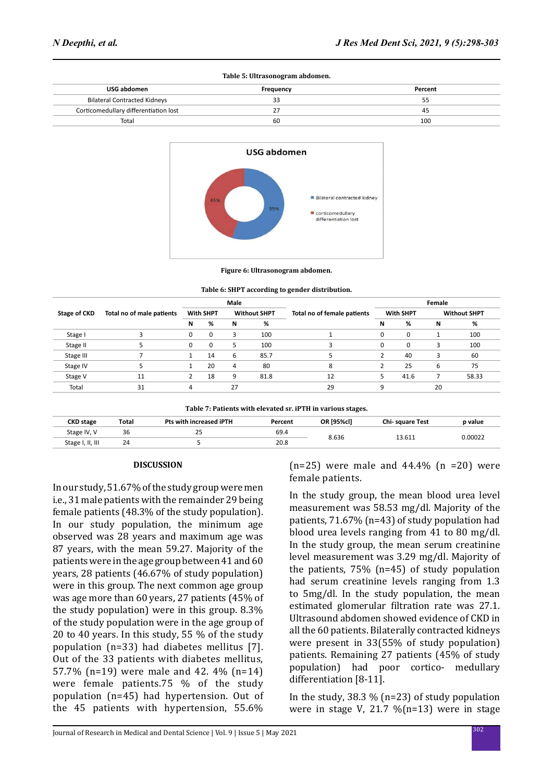| Table 5: Ultrasonogram abdomen.       |           |         |  |  |
|---------------------------------------|-----------|---------|--|--|
| USG abdomen                           | Frequency | Percent |  |  |
| <b>Bilateral Contracted Kidneys</b>   |           | 55      |  |  |
| Corticomedullary differentiation lost |           | 45      |  |  |
| Total                                 | 60        | 100     |  |  |



**Figure 6: Ultrasonogram abdomen.**

|              |                           | Male             |    |                     |      |                             | Female           |          |                     |       |
|--------------|---------------------------|------------------|----|---------------------|------|-----------------------------|------------------|----------|---------------------|-------|
| Stage of CKD | Total no of male patients | <b>With SHPT</b> |    | <b>Without SHPT</b> |      | Total no of female patients | <b>With SHPT</b> |          | <b>Without SHPT</b> |       |
|              |                           | N                | %  | N                   | %    |                             | N                | %        | N                   | %     |
| Stage I      |                           | $\Omega$         | 0  | 3                   | 100  |                             | 0                | $\Omega$ |                     | 100   |
| Stage II     |                           | $\Omega$         | 0  | 5                   | 100  | 3                           | 0                | $\Omega$ | 3                   | 100   |
| Stage III    |                           |                  | 14 | 6                   | 85.7 |                             |                  | 40       |                     | 60    |
| Stage IV     |                           |                  | 20 | 4                   | 80   | 8                           |                  | 25       | 6                   | 75    |
| Stage V      | 11                        |                  | 18 | 9                   | 81.8 | 12                          |                  | 41.6     |                     | 58.33 |
| Total        | 31                        |                  |    | 27                  |      | 29                          | a                |          | 20                  |       |

**Table 7: Patients with elevated sr. iPTH in various stages.**

| <b>CKD</b> stage | Total | Pts with increased iPTH | Percent | OR [95%cl] | <b>Chi-square Test</b> | p value |
|------------------|-------|-------------------------|---------|------------|------------------------|---------|
| Stage IV, V      | 36    | 25                      | 69.4    |            |                        |         |
| Stage I, II, III | 24    |                         | 20.8    | 8.636      | L3.611                 | 0.00022 |

#### **DISCUSSION**

In our study, 51.67% of the study group were men i.e., 31 male patients with the remainder 29 being female patients (48.3% of the study population). In our study population, the minimum age observed was 28 years and maximum age was 87 years, with the mean 59.27. Majority of the patients were in the age group between 41 and 60 years, 28 patients (46.67% of study population) were in this group. The next common age group was age more than 60 years, 27 patients (45% of the study population) were in this group. 8.3% of the study population were in the age group of 20 to 40 years. In this study, 55 % of the study population (n=33) had diabetes mellitus [7]. Out of the 33 patients with diabetes mellitus, 57.7% (n=19) were male and 42. 4% (n=14) were female patients.75 % of the study population (n=45) had hypertension. Out of the 45 patients with hypertension, 55.6%  $(n=25)$  were male and  $44.4\%$   $(n=20)$  were female patients.

In the study group, the mean blood urea level measurement was 58.53 mg/dl. Majority of the patients, 71.67% (n=43) of study population had blood urea levels ranging from 41 to 80 mg/dl. In the study group, the mean serum creatinine level measurement was 3.29 mg/dl. Majority of the patients, 75% (n=45) of study population had serum creatinine levels ranging from 1.3 to 5mg/dl. In the study population, the mean estimated glomerular filtration rate was 27.1. Ultrasound abdomen showed evidence of CKD in all the 60 patients. Bilaterally contracted kidneys were present in 33(55% of study population) patients. Remaining 27 patients (45% of study population) had poor cortico- medullary differentiation [8-11].

In the study, 38.3  $\%$  (n=23) of study population were in stage V, 21.7  $\%$ (n=13) were in stage